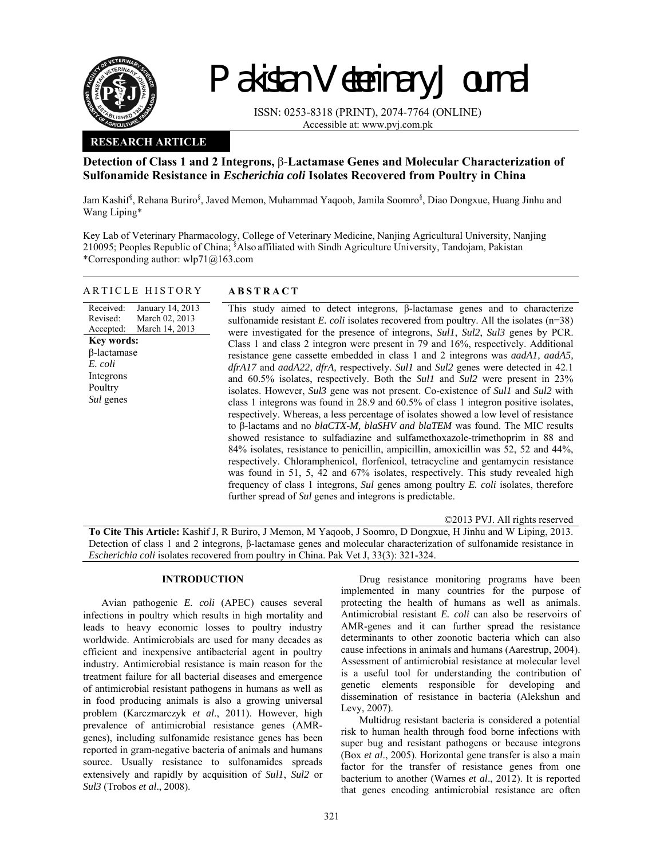

# Pakistan Veterinary Journal

ISSN: 0253-8318 (PRINT), 2074-7764 (ONLINE) Accessible at: www.pvj.com.pk

## **RESEARCH ARTICLE**

ARTICLE HISTORY **ABSTRACT** 

## **Detection of Class 1 and 2 Integrons,** β-**Lactamase Genes and Molecular Characterization of Sulfonamide Resistance in** *Escherichia coli* **Isolates Recovered from Poultry in China**

Jam Kashif<sup>§</sup>, Rehana Buriro<sup>§</sup>, Javed Memon, Muhammad Yaqoob, Jamila Soomro<sup>§</sup>, Diao Dongxue, Huang Jinhu and Wang Liping\*

Key Lab of Veterinary Pharmacology, College of Veterinary Medicine, Nanjing Agricultural University, Nanjing 210095; Peoples Republic of China; § Also affiliated with Sindh Agriculture University, Tandojam, Pakistan \*Corresponding author: wlp71@163.com

| Received:<br>January 14, 2013<br>March 02, 2013<br>Revised:<br>March 14, 2013<br>Accepted:<br><b>Key words:</b><br>$\beta$ -lactamase<br>E. coli<br>Integrons<br>Poultry<br><i>Sul</i> genes | This study aimed to detect integrons, $\beta$ -lactamase genes and to characterize<br>sulfonamide resistant E. coli isolates recovered from poultry. All the isolates $(n=38)$<br>were investigated for the presence of integrons, <i>Sul1</i> , <i>Sul2</i> , <i>Sul3</i> genes by PCR.<br>Class 1 and class 2 integron were present in 79 and 16%, respectively. Additional<br>resistance gene cassette embedded in class 1 and 2 integrons was <i>aadA1</i> , <i>aadA5</i> ,<br>dfrA17 and aadA22, dfrA, respectively. Sull and Sul2 genes were detected in 42.1<br>and 60.5% isolates, respectively. Both the <i>Sull</i> and <i>Sull</i> were present in 23%<br>isolates. However, <i>Sul3</i> gene was not present. Co-existence of <i>Sul1</i> and <i>Sul2</i> with<br>class 1 integrons was found in 28.9 and 60.5% of class 1 integron positive isolates,<br>respectively. Whereas, a less percentage of isolates showed a low level of resistance<br>to β-lactams and no blaCTX-M, blaSHV and blaTEM was found. The MIC results<br>showed resistance to sulfadiazine and sulfamethoxazole-trimethoprim in 88 and<br>84% isolates, resistance to penicillin, ampicillin, amoxicillin was 52, 52 and 44%,<br>respectively. Chloramphenicol, florfenicol, tetracycline and gentamycin resistance<br>was found in 51, 5, 42 and 67% isolates, respectively. This study revealed high<br>frequency of class 1 integrons, Sul genes among poultry E. coli isolates, therefore<br>further spread of Sul genes and integrons is predictable. |
|----------------------------------------------------------------------------------------------------------------------------------------------------------------------------------------------|------------------------------------------------------------------------------------------------------------------------------------------------------------------------------------------------------------------------------------------------------------------------------------------------------------------------------------------------------------------------------------------------------------------------------------------------------------------------------------------------------------------------------------------------------------------------------------------------------------------------------------------------------------------------------------------------------------------------------------------------------------------------------------------------------------------------------------------------------------------------------------------------------------------------------------------------------------------------------------------------------------------------------------------------------------------------------------------------------------------------------------------------------------------------------------------------------------------------------------------------------------------------------------------------------------------------------------------------------------------------------------------------------------------------------------------------------------------------------------------------------------------------------------------------|
|                                                                                                                                                                                              |                                                                                                                                                                                                                                                                                                                                                                                                                                                                                                                                                                                                                                                                                                                                                                                                                                                                                                                                                                                                                                                                                                                                                                                                                                                                                                                                                                                                                                                                                                                                                |

©2013 PVJ. All rights reserved

**To Cite This Article:** Kashif J, R Buriro, J Memon, M Yaqoob, J Soomro, D Dongxue, H Jinhu and W Liping, 2013. Detection of class 1 and 2 integrons, β-lactamase genes and molecular characterization of sulfonamide resistance in *Escherichia coli* isolates recovered from poultry in China. Pak Vet J, 33(3): 321-324.

### **INTRODUCTION**

Avian pathogenic *E. coli* (APEC) causes several infections in poultry which results in high mortality and leads to heavy economic losses to poultry industry worldwide. Antimicrobials are used for many decades as efficient and inexpensive antibacterial agent in poultry industry. Antimicrobial resistance is main reason for the treatment failure for all bacterial diseases and emergence of antimicrobial resistant pathogens in humans as well as in food producing animals is also a growing universal problem (Karczmarczyk *et al*., 2011). However, high prevalence of antimicrobial resistance genes (AMRgenes), including sulfonamide resistance genes has been reported in gram-negative bacteria of animals and humans source. Usually resistance to sulfonamides spreads extensively and rapidly by acquisition of *Sul1*, *Sul2* or *Sul3* (Trobos *et al*., 2008).

Drug resistance monitoring programs have been implemented in many countries for the purpose of protecting the health of humans as well as animals. Antimicrobial resistant *E. coli* can also be reservoirs of AMR-genes and it can further spread the resistance determinants to other zoonotic bacteria which can also cause infections in animals and humans (Aarestrup, 2004). Assessment of antimicrobial resistance at molecular level is a useful tool for understanding the contribution of genetic elements responsible for developing and dissemination of resistance in bacteria (Alekshun and Levy, 2007).

Multidrug resistant bacteria is considered a potential risk to human health through food borne infections with super bug and resistant pathogens or because integrons (Box *et al*., 2005). Horizontal gene transfer is also a main factor for the transfer of resistance genes from one bacterium to another (Warnes *et al*., 2012). It is reported that genes encoding antimicrobial resistance are often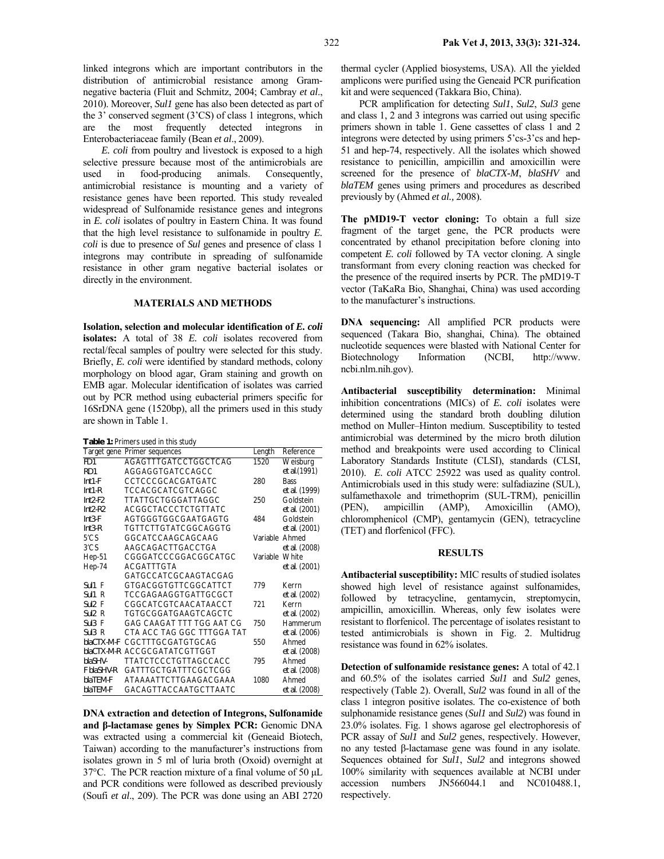linked integrons which are important contributors in the distribution of antimicrobial resistance among Gramnegative bacteria (Fluit and Schmitz, 2004; Cambray *et al*., 2010). Moreover, *Sul1* gene has also been detected as part of the 3' conserved segment (3'CS) of class 1 integrons, which are the most frequently detected integrons in Enterobacteriaceae family (Bean *et al*., 2009).

*E. coli* from poultry and livestock is exposed to a high selective pressure because most of the antimicrobials are used in food-producing animals. Consequently, antimicrobial resistance is mounting and a variety of resistance genes have been reported. This study revealed widespread of Sulfonamide resistance genes and integrons in *E. coli* isolates of poultry in Eastern China. It was found that the high level resistance to sulfonamide in poultry *E. coli* is due to presence of *Sul* genes and presence of class 1 integrons may contribute in spreading of sulfonamide resistance in other gram negative bacterial isolates or directly in the environment.

#### **MATERIALS AND METHODS**

**Isolation, selection and molecular identification of** *E. coli*  **isolates:** A total of 38 *E. coli* isolates recovered from rectal/fecal samples of poultry were selected for this study. Briefly, *E. coli* were identified by standard methods, colony morphology on blood agar, Gram staining and growth on EMB agar. Molecular identification of isolates was carried out by PCR method using eubacterial primers specific for 16SrDNA gene (1520bp), all the primers used in this study are shown in Table 1.

|  |  | Table 1: Primers used in this study |  |  |
|--|--|-------------------------------------|--|--|
|--|--|-------------------------------------|--|--|

|                     | Target gene Primer sequences | Length         | Reference     |
|---------------------|------------------------------|----------------|---------------|
| FD1                 | AGAGTTTGATCCTGGCTCAG         | 1520           | Weisburg      |
| RD1                 | AGGAGGTGATCCAGCC             |                | et al. (1991) |
| $Int1-F$            | CCTCCCGCACGATGATC            | 280            | <b>Bass</b>   |
| $Int1-R$            | TCCACGCATCGTCAGGC            |                | et al. (1999) |
| $Int2-F2$           | TTATTGCTGGGATTAGGC           | 250            | Goldstein     |
| $Int2-R2$           | <b>ACGGCTACCCTCTGTTATC</b>   |                | et al. (2001) |
| $Int3-F$            | AGTGGGTGGCGAATGAGTG          | 484            | Goldstein     |
| $Int3-R$            | TGTTCTTGTATCGGCAGGTG         |                | et al. (2001) |
| 5'CS                | GGCATCCAAGCAGCAAG            | Variable       | Ahmed         |
| 3'CS                | AAGCAGACTTGACCTGA            |                | et al. (2008) |
| Hep-51              | CGGGATCCCGGACGGCATGC         | Variable White |               |
| Hep-74              | ACGATTTGTA                   |                | et al. (2001) |
|                     | GATGCCATCGCAAGTACGAG         |                |               |
| $SU$ /1 F           | <b>GTGACGGTGTTCGGCATTCT</b>  | 779            | Kerrn         |
| S <sub>U</sub> 11 R | TCCGAGAAGGTGATTGCGCT         |                | et al. (2002) |
| $Sul2$ F            | CGGCATCGTCAACATAACCT         | 721            | Kerrn         |
| Sul2 R              | TGTGCGGATGAAGTCAGCTC         |                | et al. (2002) |
| $Sul3$ F            | GAG CAAGAT TTT TGG AAT CG    | 750            | Hammerum      |
| $Sull3$ R           | CTA ACC TAG GGC TTTGGA TAT   |                | et al. (2006) |
| blaCTX-M-F          | CGCTTTGCGATGTGCAG            | 550            | Ahmed         |
|                     | blaCTX-M-R ACCGCGATATCGTTGGT |                | et al. (2008) |
| blaSHV-             | TTATCTCCCTGTTAGCCACC         | 795            | Ahmed         |
| F blaSHV-R          | GATTTGCTGATTTCGCTCGG         |                | et al. (2008) |
| blaTEM-F            | ATAAAATTCTTGAAGACGAAA        | 1080           | Ahmed         |
| blaTEM-F            | GACAGTTACCAATGCTTAATC        |                | et al. (2008) |

**DNA extraction and detection of Integrons, Sulfonamide and β-lactamase genes by Simplex PCR:** Genomic DNA was extracted using a commercial kit (Geneaid Biotech, Taiwan) according to the manufacturer's instructions from isolates grown in 5 ml of luria broth (Oxoid) overnight at 37°C. The PCR reaction mixture of a final volume of 50 µL and PCR conditions were followed as described previously (Soufi *et al*., 209). The PCR was done using an ABI 2720

thermal cycler (Applied biosystems, USA). All the yielded amplicons were purified using the Geneaid PCR purification kit and were sequenced (Takkara Bio, China).

PCR amplification for detecting *Sul1*, *Sul2*, *Sul3* gene and class 1, 2 and 3 integrons was carried out using specific primers shown in table 1. Gene cassettes of class 1 and 2 integrons were detected by using primers 5'cs-3'cs and hep-51 and hep-74, respectively. All the isolates which showed resistance to penicillin, ampicillin and amoxicillin were screened for the presence of *blaCTX-M*, *blaSHV* and *blaTEM* genes using primers and procedures as described previously by (Ahmed *et al.,* 2008).

**The pMD19-T vector cloning:** To obtain a full size fragment of the target gene, the PCR products were concentrated by ethanol precipitation before cloning into competent *E. coli* followed by TA vector cloning. A single transformant from every cloning reaction was checked for the presence of the required inserts by PCR. The pMD19-T vector (TaKaRa Bio, Shanghai, China) was used according to the manufacturer's instructions.

**DNA sequencing:** All amplified PCR products were sequenced (Takara Bio, shanghai, China). The obtained nucleotide sequences were blasted with National Center for Biotechnology Information (NCBI, http://www. ncbi.nlm.nih.gov).

**Antibacterial susceptibility determination:** Minimal inhibition concentrations (MICs) of *E. coli* isolates were determined using the standard broth doubling dilution method on Muller–Hinton medium. Susceptibility to tested antimicrobial was determined by the micro broth dilution method and breakpoints were used according to Clinical Laboratory Standards Institute (CLSI), standards (CLSI, 2010). *E. coli* ATCC 25922 was used as quality control. Antimicrobials used in this study were: sulfadiazine (SUL), sulfamethaxole and trimethoprim (SUL-TRM), penicillin (PEN), ampicillin (AMP), Amoxicillin (AMO), chloromphenicol (CMP), gentamycin (GEN), tetracycline (TET) and florfenicol (FFC).

#### **RESULTS**

**Antibacterial susceptibility:** MIC results of studied isolates showed high level of resistance against sulfonamides, followed by tetracycline, gentamycin, streptomycin, ampicillin, amoxicillin. Whereas, only few isolates were resistant to florfenicol. The percentage of isolates resistant to tested antimicrobials is shown in Fig. 2. Multidrug resistance was found in 62% isolates.

**Detection of sulfonamide resistance genes:** A total of 42.1 and 60.5% of the isolates carried *Sul1* and *Sul2* genes, respectively (Table 2). Overall, *Sul2* was found in all of the class 1 integron positive isolates. The co-existence of both sulphonamide resistance genes (*Sul1* and *Sul2*) was found in 23.0% isolates. Fig. 1 shows agarose gel electrophoresis of PCR assay of *Sul1* and *Sul2* genes, respectively. However, no any tested β-lactamase gene was found in any isolate. Sequences obtained for *Sul1*, *Sul2* and integrons showed 100% similarity with sequences available at NCBI under accession numbers JN566044.1 and NC010488.1, respectively.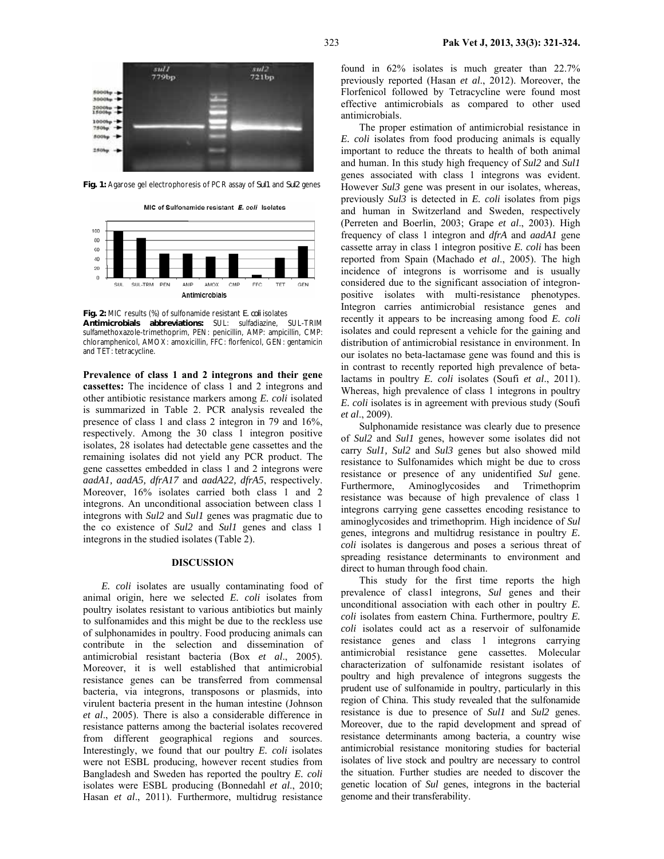

**Fig. 1:** Agarose gel electrophoresis of PCR assay of *Sul1* and *Sul2* genes

MIC of Sulfonamide resistant E. coli Isolates



**Fig. 2:** MIC results (%) of sulfonamide resistant *E. coli* isolates **Antimicrobials abbreviations:** SUL: sulfadiazine, SUL-TRIM sulfamethoxazole-trimethoprim, PEN: penicillin, AMP: ampicillin, CMP: chloramphenicol, AMOX: amoxicillin, FFC: florfenicol, GEN: gentamicin and TET: tetracycline.

**Prevalence of class 1 and 2 integrons and their gene cassettes:** The incidence of class 1 and 2 integrons and other antibiotic resistance markers among *E. coli* isolated is summarized in Table 2. PCR analysis revealed the presence of class 1 and class 2 integron in 79 and 16%, respectively. Among the 30 class 1 integron positive isolates, 28 isolates had detectable gene cassettes and the remaining isolates did not yield any PCR product. The gene cassettes embedded in class 1 and 2 integrons were *aadA1, aadA5, dfrA17* and *aadA22, dfrA5*, respectively. Moreover,  $16\%$  isolates carried both class 1 and 2 integrons. An unconditional association between class 1 integrons with *Sul2* and *Sul1* genes was pragmatic due to the co existence of *Sul2* and *Sul1* genes and class 1 integrons in the studied isolates (Table 2).

#### **DISCUSSION**

*E. coli* isolates are usually contaminating food of animal origin, here we selected *E. coli* isolates from poultry isolates resistant to various antibiotics but mainly to sulfonamides and this might be due to the reckless use of sulphonamides in poultry. Food producing animals can contribute in the selection and dissemination of antimicrobial resistant bacteria (Box *et al*., 2005). Moreover, it is well established that antimicrobial resistance genes can be transferred from commensal bacteria, via integrons, transposons or plasmids, into virulent bacteria present in the human intestine (Johnson *et al*., 2005). There is also a considerable difference in resistance patterns among the bacterial isolates recovered from different geographical regions and sources. Interestingly, we found that our poultry *E. coli* isolates were not ESBL producing, however recent studies from Bangladesh and Sweden has reported the poultry *E. coli*  isolates were ESBL producing (Bonnedahl *et al*., 2010; Hasan *et al*., 2011). Furthermore, multidrug resistance

found in 62% isolates is much greater than 22.7% previously reported (Hasan *et al*., 2012). Moreover, the Florfenicol followed by Tetracycline were found most effective antimicrobials as compared to other used antimicrobials.

The proper estimation of antimicrobial resistance in *E. coli* isolates from food producing animals is equally important to reduce the threats to health of both animal and human. In this study high frequency of *Sul2* and *Sul1* genes associated with class 1 integrons was evident. However *Sul3* gene was present in our isolates, whereas, previously *Sul3* is detected in *E. coli* isolates from pigs and human in Switzerland and Sweden, respectively (Perreten and Boerlin, 2003; Grape *et al*., 2003). High frequency of class 1 integron and *dfrA* and *aadA1* gene cassette array in class 1 integron positive *E. coli* has been reported from Spain (Machado *et al*., 2005). The high incidence of integrons is worrisome and is usually considered due to the significant association of integronpositive isolates with multi-resistance phenotypes. Integron carries antimicrobial resistance genes and recently it appears to be increasing among food *E. coli*  isolates and could represent a vehicle for the gaining and distribution of antimicrobial resistance in environment. In our isolates no beta-lactamase gene was found and this is in contrast to recently reported high prevalence of betalactams in poultry *E. coli* isolates (Soufi *et al*., 2011). Whereas, high prevalence of class 1 integrons in poultry *E. coli* isolates is in agreement with previous study (Soufi *et al*., 2009).

Sulphonamide resistance was clearly due to presence of *Sul2* and *Sul1* genes, however some isolates did not carry *Sul1, Sul2* and *Sul3* genes but also showed mild resistance to Sulfonamides which might be due to cross resistance or presence of any unidentified *Sul* gene. Furthermore, Aminoglycosides and Trimethoprim resistance was because of high prevalence of class 1 integrons carrying gene cassettes encoding resistance to aminoglycosides and trimethoprim. High incidence of *Sul* genes, integrons and multidrug resistance in poultry *E. coli* isolates is dangerous and poses a serious threat of spreading resistance determinants to environment and direct to human through food chain.

This study for the first time reports the high prevalence of class1 integrons, *Sul* genes and their unconditional association with each other in poultry *E. coli* isolates from eastern China. Furthermore, poultry *E. coli* isolates could act as a reservoir of sulfonamide resistance genes and class 1 integrons carrying antimicrobial resistance gene cassettes. Molecular characterization of sulfonamide resistant isolates of poultry and high prevalence of integrons suggests the prudent use of sulfonamide in poultry, particularly in this region of China. This study revealed that the sulfonamide resistance is due to presence of *Sul1* and *Sul2* genes. Moreover, due to the rapid development and spread of resistance determinants among bacteria, a country wise antimicrobial resistance monitoring studies for bacterial isolates of live stock and poultry are necessary to control the situation. Further studies are needed to discover the genetic location of *Sul* genes, integrons in the bacterial genome and their transferability.